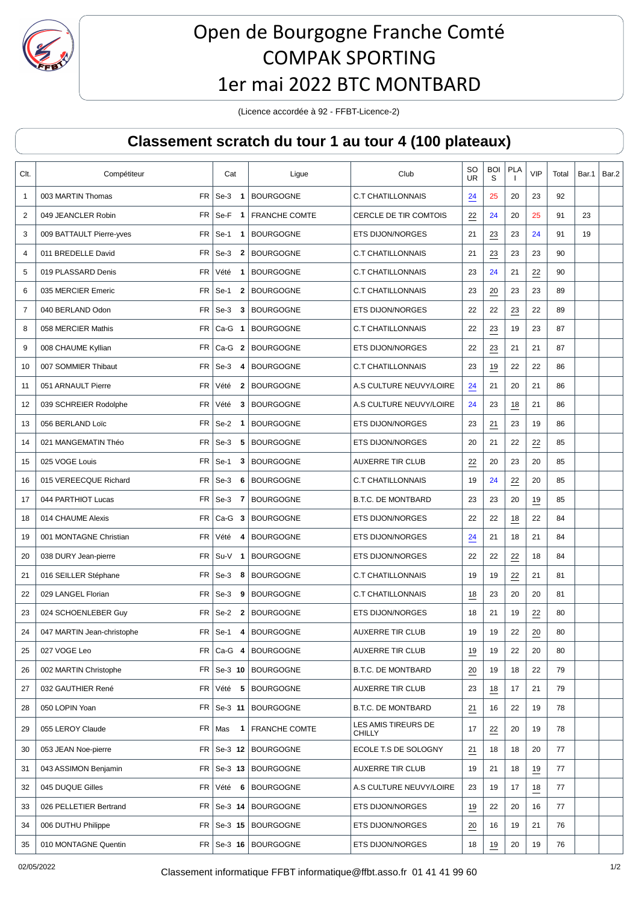

## Open de Bourgogne Franche Comté COMPAK SPORTING 1er mai 2022 BTC MONTBARD

(Licence accordée à 92 - FFBT-Licence-2)

## **Classement scratch du tour 1 au tour 4 (100 plateaux)**

| Clt.           | Compétiteur                                   | Cat                             | Ligue                    | Club                                 | SO<br><b>UR</b> | <b>BOI</b><br>S | <b>PLA</b>      | <b>VIP</b>       | Total | Bar.1 | Bar.2 |
|----------------|-----------------------------------------------|---------------------------------|--------------------------|--------------------------------------|-----------------|-----------------|-----------------|------------------|-------|-------|-------|
| 1              | 003 MARTIN Thomas                             | $FR$ Se-3<br>$\overline{1}$     | <b>BOURGOGNE</b>         | <b>C.T CHATILLONNAIS</b>             | 24              | 25              | 20              | 23               | 92    |       |       |
| $\overline{2}$ | 049 JEANCLER Robin<br>FR                      | Se-F<br>$\overline{\mathbf{1}}$ | <b>FRANCHE COMTE</b>     | CERCLE DE TIR COMTOIS                | $\frac{22}{1}$  | 24              | 20              | 25               | 91    | 23    |       |
| 3              | <b>FR</b><br>009 BATTAULT Pierre-yves         | $Se-1$<br>$\mathbf{1}$          | <b>BOURGOGNE</b>         | <b>ETS DIJON/NORGES</b>              | 21              | 23              | 23              | 24               | 91    | 19    |       |
| 4              | 011 BREDELLE David<br><b>FR</b>               | $Se-3$<br>$\overline{2}$        | <b>BOURGOGNE</b>         | <b>C.T CHATILLONNAIS</b>             | 21              | 23              | 23              | 23               | 90    |       |       |
| 5              | <b>FR</b><br>019 PLASSARD Denis               | Vété<br>1                       | <b>BOURGOGNE</b>         | <b>C.T CHATILLONNAIS</b>             | 23              | 24              | 21              | 22               | 90    |       |       |
| 6              | <b>FR</b><br>035 MERCIER Emeric               | $Se-1$<br>2                     | <b>BOURGOGNE</b>         | <b>C.T CHATILLONNAIS</b>             | 23              | 20              | 23              | 23               | 89    |       |       |
| $\overline{7}$ | <b>FR</b><br>040 BERLAND Odon                 | $Se-3$<br>3                     | <b>BOURGOGNE</b>         | <b>ETS DIJON/NORGES</b>              | 22              | 22              | $\overline{23}$ | 22               | 89    |       |       |
| 8              | <b>FR</b><br>058 MERCIER Mathis               | $Ca-G$ 1                        | <b>BOURGOGNE</b>         | <b>C.T CHATILLONNAIS</b>             | 22              | 23              | 19              | 23               | 87    |       |       |
| 9              | FR  <br>008 CHAUME Kyllian                    | $Ca-G2$                         | <b>BOURGOGNE</b>         | <b>ETS DIJON/NORGES</b>              | 22              | $\overline{23}$ | 21              | 21               | 87    |       |       |
| 10             | FR  <br>007 SOMMIER Thibaut                   | $Se-3$<br>4                     | <b>BOURGOGNE</b>         | <b>C.T CHATILLONNAIS</b>             | 23              | 19              | 22              | 22               | 86    |       |       |
| 11             | <b>FR</b><br>051 ARNAULT Pierre               | Vété<br>$\mathbf{2}$            | <b>BOURGOGNE</b>         | A.S CULTURE NEUVY/LOIRE              | $\overline{24}$ | 21              | 20              | 21               | 86    |       |       |
| 12             | <b>FR</b><br>039 SCHREIER Rodolphe            | Vété<br>3                       | <b>BOURGOGNE</b>         | A.S CULTURE NEUVY/LOIRE              | 24              | 23              | 18              | 21               | 86    |       |       |
| 13             | <b>FR</b><br>056 BERLAND Loïc                 | $Se-2$<br>$\mathbf 1$           | <b>BOURGOGNE</b>         | <b>ETS DIJON/NORGES</b>              | 23              | 21              | 23              | 19               | 86    |       |       |
| 14             | FR  <br>021 MANGEMATIN Théo                   | $Se-3$<br>5                     | <b>BOURGOGNE</b>         | <b>ETS DIJON/NORGES</b>              | 20              | 21              | 22              | $\overline{22}$  | 85    |       |       |
| 15             | FR <sub>1</sub><br>025 VOGE Louis             | $Se-1$<br>3                     | <b>BOURGOGNE</b>         | <b>AUXERRE TIR CLUB</b>              | $\overline{22}$ | 20              | 23              | 20               | 85    |       |       |
| 16             | 015 VEREECQUE Richard<br>FR                   | $Se-3$<br>6                     | <b>BOURGOGNE</b>         | <b>C.T CHATILLONNAIS</b>             | 19              | 24              | $\overline{22}$ | 20               | 85    |       |       |
| 17             | 044 PARTHIOT Lucas<br>FR                      | $Se-3$<br>$\overline{7}$        | <b>BOURGOGNE</b>         | <b>B.T.C. DE MONTBARD</b>            | 23              | 23              | 20              | 19               | 85    |       |       |
| 18             | 014 CHAUME Alexis<br>FR <sub>1</sub>          | $Ca-G3$                         | <b>BOURGOGNE</b>         | <b>ETS DIJON/NORGES</b>              | 22              | 22              | 18              | 22               | 84    |       |       |
| 19             | 001 MONTAGNE Christian<br><b>FR</b>           | Vété<br>4                       | <b>BOURGOGNE</b>         | <b>ETS DIJON/NORGES</b>              | 24              | 21              | 18              | 21               | 84    |       |       |
| 20             | FR.<br>038 DURY Jean-pierre                   | Su-V<br>$\mathbf{1}$            | <b>BOURGOGNE</b>         | <b>ETS DIJON/NORGES</b>              | 22              | 22              | $\frac{22}{1}$  | 18               | 84    |       |       |
| 21             | 016 SEILLER Stéphane<br>FR                    | Se-3<br>8                       | <b>BOURGOGNE</b>         | <b>C.T CHATILLONNAIS</b>             | 19              | 19              | 22              | 21               | 81    |       |       |
| 22             | <b>FR</b><br>029 LANGEL Florian               | $Se-3$<br>9                     | <b>BOURGOGNE</b>         | <b>C.T CHATILLONNAIS</b>             | 18              | 23              | 20              | 20               | 81    |       |       |
| 23             | <b>FR</b><br>024 SCHOENLEBER Guy              | $Se-2$<br>$\overline{2}$        | <b>BOURGOGNE</b>         | <b>ETS DIJON/NORGES</b>              | 18              | 21              | 19              | 22               | 80    |       |       |
| 24             | FR <sub>1</sub><br>047 MARTIN Jean-christophe | $Se-1$<br>4                     | <b>BOURGOGNE</b>         | <b>AUXERRE TIR CLUB</b>              | 19              | 19              | 22              | 20               | 80    |       |       |
| 25             | 027 VOGE Leo<br>FR                            | $Ca-G$ 4                        | <b>BOURGOGNE</b>         | <b>AUXERRE TIR CLUB</b>              | 19              | 19              | 22              | 20               | 80    |       |       |
| 26             | 002 MARTIN Christophe<br>FR                   | Se-3 10                         | <b>BOURGOGNE</b>         | <b>B.T.C. DE MONTBARD</b>            | $\frac{20}{5}$  | 19              | 18              | 22               | 79    |       |       |
| 27             | FR<br>032 GAUTHIER René                       | Vété<br>5                       | <b>BOURGOGNE</b>         | <b>AUXERRE TIR CLUB</b>              | 23              | 18              | 17              | 21               | 79    |       |       |
| 28             | 050 LOPIN Yoan                                | $FR$ Se-3 11                    | <b>BOURGOGNE</b>         | <b>B.T.C. DE MONTBARD</b>            | 21              | 16              | 22              | 19               | 78    |       |       |
| 29             | 055 LEROY Claude<br>FR                        | Mas<br>1                        | <b>FRANCHE COMTE</b>     | LES AMIS TIREURS DE<br><b>CHILLY</b> | 17              | 22              | 20              | 19               | 78    |       |       |
| 30             | 053 JEAN Noe-pierre                           |                                 | FR   Se-3 12   BOURGOGNE | ECOLE T.S DE SOLOGNY                 | 21              | 18              | 18              | 20               | 77    |       |       |
| 31             | FR<br>043 ASSIMON Benjamin                    | Se-3 13                         | <b>BOURGOGNE</b>         | <b>AUXERRE TIR CLUB</b>              | 19              | 21              | 18              | 19               | 77    |       |       |
| 32             | 045 DUQUE Gilles<br>FR                        | Vété<br>6                       | <b>BOURGOGNE</b>         | A.S CULTURE NEUVY/LOIRE              | 23              | 19              | 17              | $\underline{18}$ | 77    |       |       |
| 33             | 026 PELLETIER Bertrand<br>FR                  | Se-3 14                         | <b>BOURGOGNE</b>         | ETS DIJON/NORGES                     | 19              | 22              | 20              | 16               | 77    |       |       |
| 34             | 006 DUTHU Philippe<br>FR                      | Se-3 15                         | <b>BOURGOGNE</b>         | ETS DIJON/NORGES                     | $\overline{20}$ | 16              | 19              | 21               | 76    |       |       |
| 35             | 010 MONTAGNE Quentin                          | $FR$ Se-3 16                    | <b>BOURGOGNE</b>         | ETS DIJON/NORGES                     | 18              | 19              | 20              | 19               | 76    |       |       |